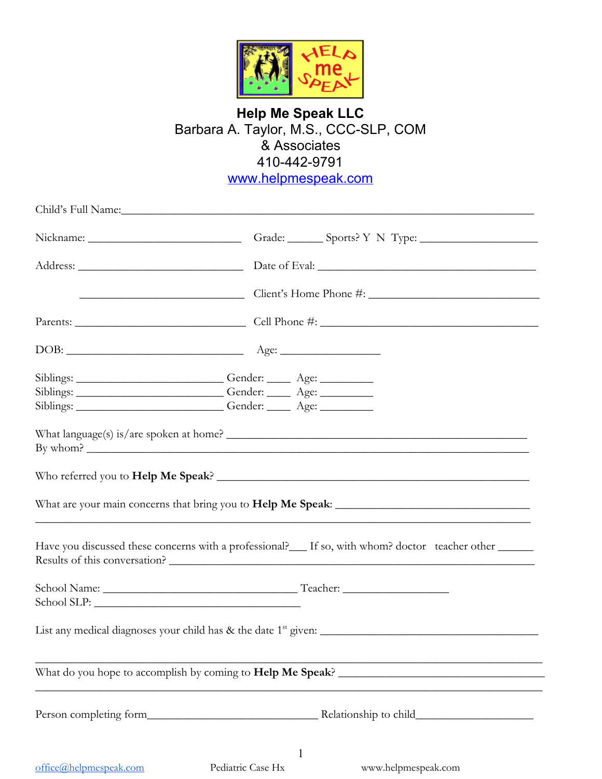

# **Help Me Speak LLC** Barbara A. Taylor, M.S., CCC-SLP, COM & Associates 410-442-9791 www.helpmespeak.com

Child's Full Name: Nickname: \_\_\_\_\_\_\_\_\_\_\_\_\_\_\_\_\_\_\_\_\_\_\_\_\_\_\_\_\_\_\_\_\_\_Grade: \_\_\_\_\_\_\_\_\_Sports? Y N Type: \_\_\_\_\_\_\_\_\_\_\_\_\_\_\_\_\_\_\_\_\_\_\_\_\_\_\_\_\_\_\_\_ Address:  $\Box$  Date of Eval: \_\_\_\_\_\_\_\_\_\_\_\_\_\_\_\_\_\_\_\_\_\_\_\_\_\_\_\_ Client's Home Phone #: \_\_\_\_\_\_\_\_\_\_\_\_\_\_\_\_\_\_\_\_\_\_\_\_\_\_\_\_\_ Parents: \_\_\_\_\_\_\_\_\_\_\_\_\_\_\_\_\_\_\_\_\_\_\_\_\_\_\_\_\_ Cell Phone #: \_\_\_\_\_\_\_\_\_\_\_\_\_\_\_\_\_\_\_\_\_\_\_\_\_\_\_\_\_\_\_\_\_\_\_\_\_ DOB: \_\_\_\_\_\_\_\_\_\_\_\_\_\_\_\_\_\_\_\_\_\_\_\_\_\_\_\_\_\_ Age: \_\_\_\_\_\_\_\_\_\_\_\_\_\_\_\_\_ Siblings: \_\_\_\_\_\_\_\_\_\_\_\_\_\_\_\_\_\_\_\_\_\_\_\_\_\_\_\_\_\_Gender: \_\_\_\_\_\_\_ Age: \_\_\_\_\_\_\_\_\_\_\_\_\_ Siblings: \_\_\_\_\_\_\_\_\_\_\_\_\_\_\_\_\_\_\_\_\_\_\_\_\_\_\_\_\_\_\_Gender: \_\_\_\_\_\_\_ Age: \_\_\_\_\_\_\_\_\_\_\_\_\_\_\_\_\_\_ Siblings: \_\_\_\_\_\_\_\_\_\_\_\_\_\_\_\_\_\_\_\_\_\_\_\_\_\_\_\_Gender: \_\_\_\_\_\_\_ Age: \_\_\_\_\_\_\_\_\_\_\_\_\_\_\_ What language(s) is/are spoken at home? \_\_\_\_\_\_\_\_\_\_\_\_\_\_\_\_\_\_\_\_\_\_\_\_\_\_\_\_\_\_\_\_\_\_\_\_\_\_\_\_\_\_\_\_\_\_\_\_\_\_\_ By whom?  $\overline{\phantom{a}}$ Who referred you to **Help Me Speak**? \_\_\_\_\_\_\_\_\_\_\_\_\_\_\_\_\_\_\_\_\_\_\_\_\_\_\_\_\_\_\_\_\_\_\_\_\_\_\_\_\_\_\_\_\_\_\_\_\_\_\_\_\_ What are your main concerns that bring you to **Help Me Speak**: \_\_\_\_\_\_\_\_\_\_\_\_\_\_\_\_\_\_\_\_\_\_\_\_\_\_\_\_\_\_\_\_\_ \_\_\_\_\_\_\_\_\_\_\_\_\_\_\_\_\_\_\_\_\_\_\_\_\_\_\_\_\_\_\_\_\_\_\_\_\_\_\_\_\_\_\_\_\_\_\_\_\_\_\_\_\_\_\_\_\_\_\_\_\_\_\_\_\_\_\_\_\_\_\_\_\_\_\_\_\_\_\_\_\_\_\_\_ Have you discussed these concerns with a professional? If so, with whom? doctor teacher other Results of this conversation? School Name: \_\_\_\_\_\_\_\_\_\_\_\_\_\_\_\_\_\_\_\_\_\_\_\_\_\_\_\_\_\_\_\_\_ Teacher: \_\_\_\_\_\_\_\_\_\_\_\_\_\_\_\_\_\_ School SLP: List any medical diagnoses your child has & the date 1st given: \_\_\_\_\_\_\_\_\_\_\_\_\_\_\_\_\_\_\_\_\_\_\_\_\_\_\_\_\_\_\_\_\_\_\_\_\_  $\_$  ,  $\_$  ,  $\_$  ,  $\_$  ,  $\_$  ,  $\_$  ,  $\_$  ,  $\_$  ,  $\_$  ,  $\_$  ,  $\_$  ,  $\_$  ,  $\_$  ,  $\_$  ,  $\_$ What do you hope to accomplish by coming to **Help Me Speak**? \_\_\_\_\_\_\_\_\_\_\_\_\_\_\_\_\_\_\_\_\_\_\_\_\_\_\_\_\_\_\_\_\_\_\_  $\_$  , and the set of the set of the set of the set of the set of the set of the set of the set of the set of the set of the set of the set of the set of the set of the set of the set of the set of the set of the set of th Person completing form\_\_\_\_\_\_\_\_\_\_\_\_\_\_\_\_\_\_\_\_\_\_\_\_\_\_\_\_\_ Relationship to child\_\_\_\_\_\_\_\_\_\_\_\_\_\_\_\_\_\_\_\_ 1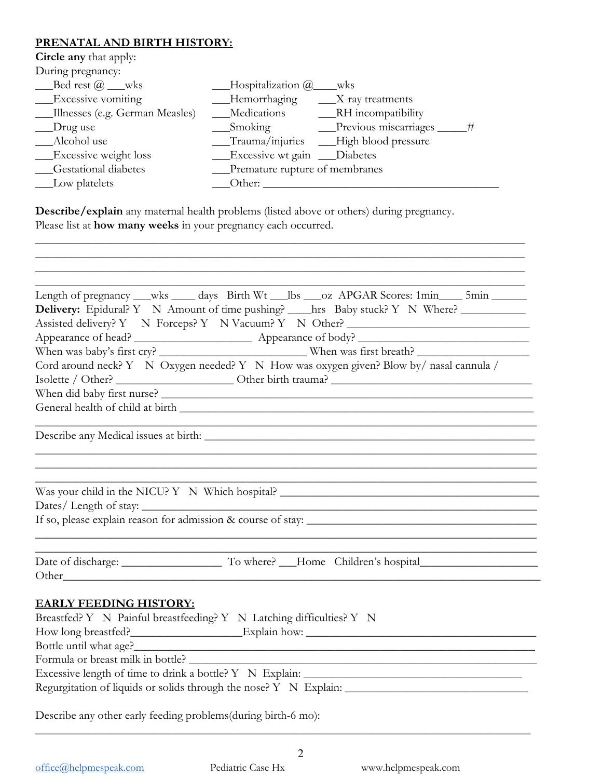# **PRENATAL AND BIRTH HISTORY:**

**Circle any** that apply:

| During pregnancy:               |                                             |
|---------------------------------|---------------------------------------------|
| Bed rest $@$ __wks              | $\_\$ Hospitalization $@$<br>wks            |
| _Excessive vomiting             | _Hemorrhaging<br>$\sqrt{X}$ -ray treatments |
| Illnesses (e.g. German Measles) | Medications<br>___RH incompatibility        |
| $\Box$ Drug use                 | Previous miscarriages<br>#<br>Smoking       |
| Alcohol use                     | Trauma/injuries __High blood pressure       |
| __Excessive weight loss         | Excessive wt gain ___Diabetes               |
| <b>Gestational diabetes</b>     | __Premature rupture of membranes            |
| __Low platelets                 | Other:                                      |

**Describe/explain** any maternal health problems (listed above or others) during pregnancy. Please list at **how many weeks** in your pregnancy each occurred.

\_\_\_\_\_\_\_\_\_\_\_\_\_\_\_\_\_\_\_\_\_\_\_\_\_\_\_\_\_\_\_\_\_\_\_\_\_\_\_\_\_\_\_\_\_\_\_\_\_\_\_\_\_\_\_\_\_\_\_\_\_\_\_\_\_\_\_\_\_\_\_\_\_\_\_\_\_\_\_\_\_\_\_ \_\_\_\_\_\_\_\_\_\_\_\_\_\_\_\_\_\_\_\_\_\_\_\_\_\_\_\_\_\_\_\_\_\_\_\_\_\_\_\_\_\_\_\_\_\_\_\_\_\_\_\_\_\_\_\_\_\_\_\_\_\_\_\_\_\_\_\_\_\_\_\_\_\_\_\_\_\_\_\_\_\_\_

|                                                                | Length of pregnancy __wks ____ days Birth Wt __lbs ___oz APGAR Scores: 1min____ 5min _____                            |
|----------------------------------------------------------------|-----------------------------------------------------------------------------------------------------------------------|
|                                                                | Delivery: Epidural? Y N Amount of time pushing? ____hrs Baby stuck? Y N Where? _________                              |
|                                                                | Assisted delivery? Y N Forceps? Y N Vacuum? Y N Other? _________________________                                      |
|                                                                |                                                                                                                       |
|                                                                |                                                                                                                       |
|                                                                | When was baby's first cry?<br>Cord around neck? Y N Oxygen needed? Y N How was oxygen given? Blow by/ nasal cannula / |
|                                                                |                                                                                                                       |
|                                                                |                                                                                                                       |
|                                                                |                                                                                                                       |
|                                                                |                                                                                                                       |
|                                                                |                                                                                                                       |
|                                                                |                                                                                                                       |
|                                                                |                                                                                                                       |
|                                                                | Was your child in the NICU? Y N Which hospital? _________________________________                                     |
|                                                                |                                                                                                                       |
|                                                                |                                                                                                                       |
|                                                                |                                                                                                                       |
|                                                                |                                                                                                                       |
|                                                                |                                                                                                                       |
|                                                                |                                                                                                                       |
| <b>EARLY FEEDING HISTORY:</b>                                  |                                                                                                                       |
|                                                                | Breastfed? Y N Painful breastfeeding? Y N Latching difficulties? Y N                                                  |
|                                                                |                                                                                                                       |
| Bottle until what age?__________                               | <u> 1980 - Johann Stoff, deutscher Stoffen und der Stoffen und der Stoffen und der Stoffen und der Stoffen und de</u> |
| Formula or breast milk in bottle?                              |                                                                                                                       |
|                                                                |                                                                                                                       |
|                                                                | Regurgitation of liquids or solids through the nose? Y N Explain: __________________________________                  |
|                                                                |                                                                                                                       |
| Describe any other early feeding problems (during birth-6 mo): |                                                                                                                       |

\_\_\_\_\_\_\_\_\_\_\_\_\_\_\_\_\_\_\_\_\_\_\_\_\_\_\_\_\_\_\_\_\_\_\_\_\_\_\_\_\_\_\_\_\_\_\_\_\_\_\_\_\_\_\_\_\_\_\_\_\_\_\_\_\_\_\_\_\_\_\_\_\_\_\_\_\_\_\_\_\_\_\_\_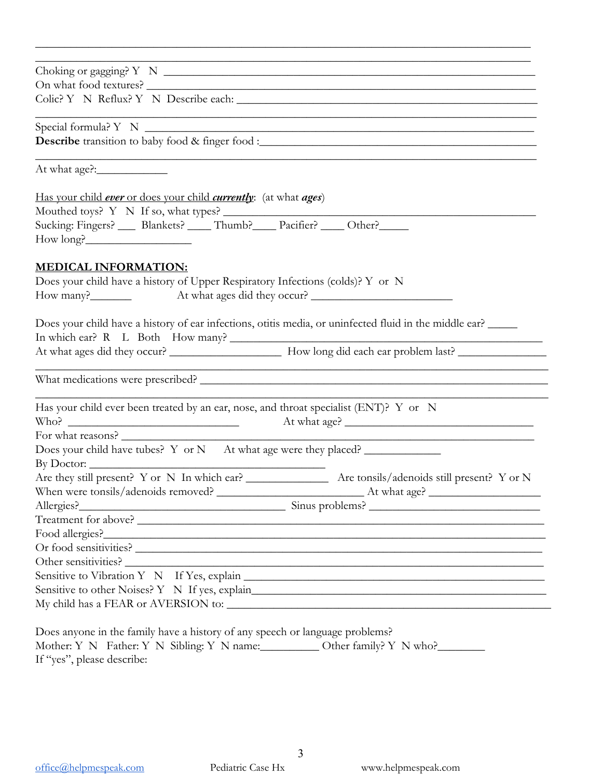| Describe transition to baby food & finger food :_________________________________<br>Sucking: Fingers? ____ Blankets? ____ Thumb? ____ Pacifier? ____ Other? _____<br>Does your child have a history of ear infections, otitis media, or uninfected fluid in the middle ear?<br><u> 1989 - Johann Stoff, amerikansk politiker (d. 1989)</u><br>Has your child ever been treated by an ear, nose, and throat specialist (ENT)? Y or N<br>At what age?<br>the control of the control of the control of the control of the control of the control of<br>Sensitive to other Noises? Y N If yes, explain___________________________________<br>Does anyone in the family have a history of any speech or language problems? |                                                                                   |
|------------------------------------------------------------------------------------------------------------------------------------------------------------------------------------------------------------------------------------------------------------------------------------------------------------------------------------------------------------------------------------------------------------------------------------------------------------------------------------------------------------------------------------------------------------------------------------------------------------------------------------------------------------------------------------------------------------------------|-----------------------------------------------------------------------------------|
|                                                                                                                                                                                                                                                                                                                                                                                                                                                                                                                                                                                                                                                                                                                        |                                                                                   |
|                                                                                                                                                                                                                                                                                                                                                                                                                                                                                                                                                                                                                                                                                                                        |                                                                                   |
|                                                                                                                                                                                                                                                                                                                                                                                                                                                                                                                                                                                                                                                                                                                        |                                                                                   |
|                                                                                                                                                                                                                                                                                                                                                                                                                                                                                                                                                                                                                                                                                                                        |                                                                                   |
|                                                                                                                                                                                                                                                                                                                                                                                                                                                                                                                                                                                                                                                                                                                        |                                                                                   |
|                                                                                                                                                                                                                                                                                                                                                                                                                                                                                                                                                                                                                                                                                                                        |                                                                                   |
|                                                                                                                                                                                                                                                                                                                                                                                                                                                                                                                                                                                                                                                                                                                        | Has your child ever or does your child <i>currently</i> : (at what <i>ages</i> )  |
|                                                                                                                                                                                                                                                                                                                                                                                                                                                                                                                                                                                                                                                                                                                        |                                                                                   |
|                                                                                                                                                                                                                                                                                                                                                                                                                                                                                                                                                                                                                                                                                                                        |                                                                                   |
|                                                                                                                                                                                                                                                                                                                                                                                                                                                                                                                                                                                                                                                                                                                        | How long?                                                                         |
|                                                                                                                                                                                                                                                                                                                                                                                                                                                                                                                                                                                                                                                                                                                        | <b>MEDICAL INFORMATION:</b>                                                       |
|                                                                                                                                                                                                                                                                                                                                                                                                                                                                                                                                                                                                                                                                                                                        | Does your child have a history of Upper Respiratory Infections (colds)? Y or N    |
|                                                                                                                                                                                                                                                                                                                                                                                                                                                                                                                                                                                                                                                                                                                        |                                                                                   |
|                                                                                                                                                                                                                                                                                                                                                                                                                                                                                                                                                                                                                                                                                                                        |                                                                                   |
|                                                                                                                                                                                                                                                                                                                                                                                                                                                                                                                                                                                                                                                                                                                        |                                                                                   |
|                                                                                                                                                                                                                                                                                                                                                                                                                                                                                                                                                                                                                                                                                                                        |                                                                                   |
|                                                                                                                                                                                                                                                                                                                                                                                                                                                                                                                                                                                                                                                                                                                        |                                                                                   |
|                                                                                                                                                                                                                                                                                                                                                                                                                                                                                                                                                                                                                                                                                                                        |                                                                                   |
|                                                                                                                                                                                                                                                                                                                                                                                                                                                                                                                                                                                                                                                                                                                        |                                                                                   |
|                                                                                                                                                                                                                                                                                                                                                                                                                                                                                                                                                                                                                                                                                                                        | For what reasons?                                                                 |
|                                                                                                                                                                                                                                                                                                                                                                                                                                                                                                                                                                                                                                                                                                                        | Does your child have tubes? Y or N At what age were they placed?                  |
|                                                                                                                                                                                                                                                                                                                                                                                                                                                                                                                                                                                                                                                                                                                        |                                                                                   |
|                                                                                                                                                                                                                                                                                                                                                                                                                                                                                                                                                                                                                                                                                                                        |                                                                                   |
|                                                                                                                                                                                                                                                                                                                                                                                                                                                                                                                                                                                                                                                                                                                        |                                                                                   |
|                                                                                                                                                                                                                                                                                                                                                                                                                                                                                                                                                                                                                                                                                                                        |                                                                                   |
|                                                                                                                                                                                                                                                                                                                                                                                                                                                                                                                                                                                                                                                                                                                        |                                                                                   |
|                                                                                                                                                                                                                                                                                                                                                                                                                                                                                                                                                                                                                                                                                                                        |                                                                                   |
|                                                                                                                                                                                                                                                                                                                                                                                                                                                                                                                                                                                                                                                                                                                        |                                                                                   |
|                                                                                                                                                                                                                                                                                                                                                                                                                                                                                                                                                                                                                                                                                                                        |                                                                                   |
|                                                                                                                                                                                                                                                                                                                                                                                                                                                                                                                                                                                                                                                                                                                        |                                                                                   |
|                                                                                                                                                                                                                                                                                                                                                                                                                                                                                                                                                                                                                                                                                                                        |                                                                                   |
|                                                                                                                                                                                                                                                                                                                                                                                                                                                                                                                                                                                                                                                                                                                        |                                                                                   |
|                                                                                                                                                                                                                                                                                                                                                                                                                                                                                                                                                                                                                                                                                                                        |                                                                                   |
|                                                                                                                                                                                                                                                                                                                                                                                                                                                                                                                                                                                                                                                                                                                        | Mother: Y N Father: Y N Sibling: Y N name: ___________ Other family? Y N who?____ |

\_\_\_\_\_\_\_\_\_\_\_\_\_\_\_\_\_\_\_\_\_\_\_\_\_\_\_\_\_\_\_\_\_\_\_\_\_\_\_\_\_\_\_\_\_\_\_\_\_\_\_\_\_\_\_\_\_\_\_\_\_\_\_\_\_\_\_\_\_\_\_\_\_\_\_\_\_\_\_\_\_\_\_\_

If "yes", please describe: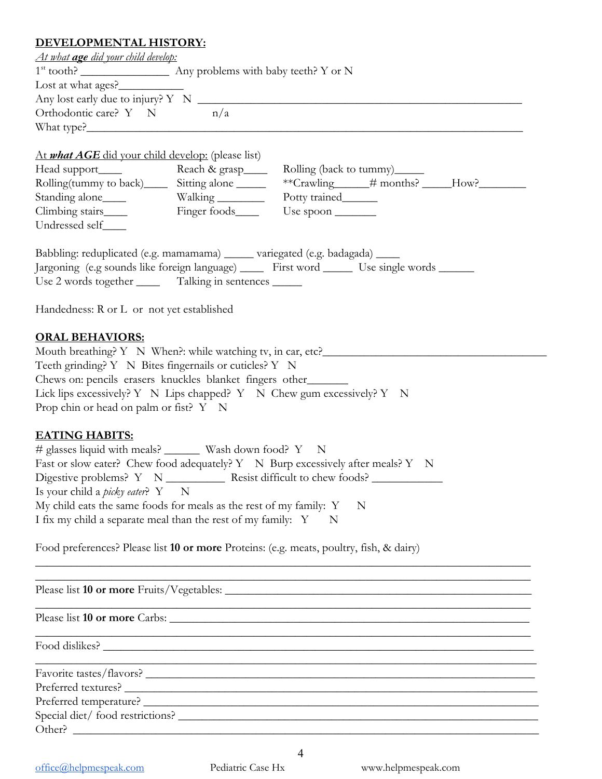# **DEVELOPMENT ALL SERVIT OP**

| <u>DEVELOPMENTAL HISTORY:</u>                                                    |                                                                                              |  |  |  |
|----------------------------------------------------------------------------------|----------------------------------------------------------------------------------------------|--|--|--|
| <u>At what age did your child develop:</u>                                       |                                                                                              |  |  |  |
|                                                                                  |                                                                                              |  |  |  |
| Lost at what ages?                                                               |                                                                                              |  |  |  |
|                                                                                  |                                                                                              |  |  |  |
| Orthodontic care? $Y \tN$ $n/a$                                                  |                                                                                              |  |  |  |
|                                                                                  |                                                                                              |  |  |  |
|                                                                                  |                                                                                              |  |  |  |
| At what AGE did your child develop: (please list)                                |                                                                                              |  |  |  |
| Head support_____                                                                | Reach & grasp____<br>Rolling (back to tummy)______                                           |  |  |  |
| Rolling(tummy to back) ______ Sitting alone ______                               |                                                                                              |  |  |  |
|                                                                                  | Potty trained_______                                                                         |  |  |  |
| Climbing stairs_____                                                             | Finger foods_____<br>Use spoon                                                               |  |  |  |
| Undressed self____                                                               |                                                                                              |  |  |  |
|                                                                                  |                                                                                              |  |  |  |
|                                                                                  | Babbling: reduplicated (e.g. mamamama) ______ variegated (e.g. badagada) _____               |  |  |  |
|                                                                                  | Jargoning (e.g sounds like foreign language) _____ First word ______ Use single words ______ |  |  |  |
|                                                                                  | Use 2 words together ________ Talking in sentences _______                                   |  |  |  |
|                                                                                  |                                                                                              |  |  |  |
| Handedness: R or L or not yet established                                        |                                                                                              |  |  |  |
|                                                                                  |                                                                                              |  |  |  |
| <b>ORAL BEHAVIORS:</b>                                                           |                                                                                              |  |  |  |
|                                                                                  | Mouth breathing? Y N When?: while watching tv, in car, etc?______________________            |  |  |  |
|                                                                                  | Teeth grinding? Y N Bites fingernails or cuticles? Y N                                       |  |  |  |
|                                                                                  | Chews on: pencils erasers knuckles blanket fingers other                                     |  |  |  |
|                                                                                  | Lick lips excessively? Y N Lips chapped? Y N Chew gum excessively? Y N                       |  |  |  |
| Prop chin or head on palm or fist? Y N                                           |                                                                                              |  |  |  |
|                                                                                  |                                                                                              |  |  |  |
| <b>EATING HABITS:</b>                                                            |                                                                                              |  |  |  |
|                                                                                  | # glasses liquid with meals? ________ Wash down food? Y N                                    |  |  |  |
|                                                                                  | Fast or slow eater? Chew food adequately? Y N Burp excessively after meals? Y N              |  |  |  |
| Digestive problems? Y N ___________ Resist difficult to chew foods? ____________ |                                                                                              |  |  |  |
| Is your child a <i>picky eater</i> ? Y N                                         |                                                                                              |  |  |  |
|                                                                                  | My child eats the same foods for meals as the rest of my family: Y<br>$\mathbb N$            |  |  |  |
|                                                                                  | I fix my child a separate meal than the rest of my family: Y N                               |  |  |  |
|                                                                                  |                                                                                              |  |  |  |
|                                                                                  |                                                                                              |  |  |  |

Food preferences? Please list **10 or more** Proteins: (e.g. meats, poultry, fish, & dairy)

Please list **10 or more** Fruits/Vegetables: \_\_\_\_\_\_\_\_\_\_\_\_\_\_\_\_\_\_\_\_\_\_\_\_\_\_\_\_\_\_\_\_\_\_\_\_\_\_\_\_\_\_\_\_\_\_\_\_\_\_\_\_

Please list **10 or more** Carbs: \_\_\_\_\_\_\_\_\_\_\_\_\_\_\_\_\_\_\_\_\_\_\_\_\_\_\_\_\_\_\_\_\_\_\_\_\_\_\_\_\_\_\_\_\_\_\_\_\_\_\_\_\_\_\_\_\_\_\_\_\_

Food dislikes? \_\_\_\_\_\_\_\_\_\_\_\_\_\_\_\_\_\_\_\_\_\_\_\_\_\_\_\_\_\_\_\_\_\_\_\_\_\_\_\_\_\_\_\_\_\_\_\_\_\_\_\_\_\_\_\_\_\_\_\_\_\_\_\_\_\_\_\_\_\_\_\_\_

| Favorite tastes/flavors?        |  |
|---------------------------------|--|
| Preferred textures?             |  |
|                                 |  |
| Special diet/food restrictions? |  |
| Other?                          |  |

4

 $\mathcal{L}_\mathcal{L} = \{ \mathcal{L}_\mathcal{L} = \{ \mathcal{L}_\mathcal{L} = \{ \mathcal{L}_\mathcal{L} = \{ \mathcal{L}_\mathcal{L} = \{ \mathcal{L}_\mathcal{L} = \{ \mathcal{L}_\mathcal{L} = \{ \mathcal{L}_\mathcal{L} = \{ \mathcal{L}_\mathcal{L} = \{ \mathcal{L}_\mathcal{L} = \{ \mathcal{L}_\mathcal{L} = \{ \mathcal{L}_\mathcal{L} = \{ \mathcal{L}_\mathcal{L} = \{ \mathcal{L}_\mathcal{L} = \{ \mathcal{L}_\mathcal{$ 

\_\_\_\_\_\_\_\_\_\_\_\_\_\_\_\_\_\_\_\_\_\_\_\_\_\_\_\_\_\_\_\_\_\_\_\_\_\_\_\_\_\_\_\_\_\_\_\_\_\_\_\_\_\_\_\_\_\_\_\_\_\_\_\_\_\_\_\_\_\_\_\_\_\_\_\_\_\_\_\_\_\_\_\_

\_\_\_\_\_\_\_\_\_\_\_\_\_\_\_\_\_\_\_\_\_\_\_\_\_\_\_\_\_\_\_\_\_\_\_\_\_\_\_\_\_\_\_\_\_\_\_\_\_\_\_\_\_\_\_\_\_\_\_\_\_\_\_\_\_\_\_\_\_\_\_\_\_\_\_\_\_\_\_\_\_\_\_\_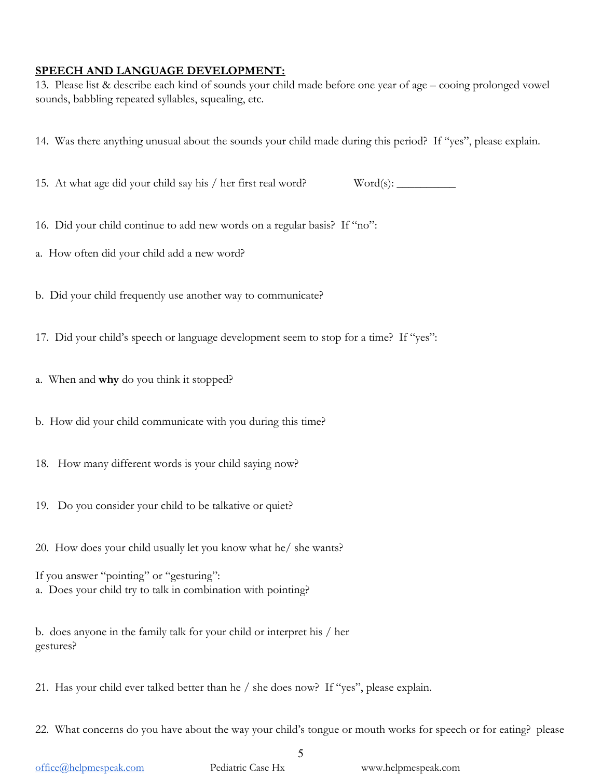#### **SPEECH AND LANGUAGE DEVELOPMENT:**

13. Please list & describe each kind of sounds your child made before one year of age – cooing prolonged vowel sounds, babbling repeated syllables, squealing, etc.

- 14. Was there anything unusual about the sounds your child made during this period? If "yes", please explain.
- 15. At what age did your child say his / her first real word? Word(s): \_\_\_\_\_\_\_\_\_

- 16. Did your child continue to add new words on a regular basis? If "no":
- a. How often did your child add a new word?
- b. Did your child frequently use another way to communicate?
- 17. Did your child's speech or language development seem to stop for a time? If "yes":
- a. When and **why** do you think it stopped?
- b. How did your child communicate with you during this time?
- 18. How many different words is your child saying now?
- 19. Do you consider your child to be talkative or quiet?
- 20. How does your child usually let you know what he/ she wants?

If you answer "pointing" or "gesturing": a. Does your child try to talk in combination with pointing?

b. does anyone in the family talk for your child or interpret his / her gestures?

21. Has your child ever talked better than he / she does now? If "yes", please explain.

22. What concerns do you have about the way your child's tongue or mouth works for speech or for eating? please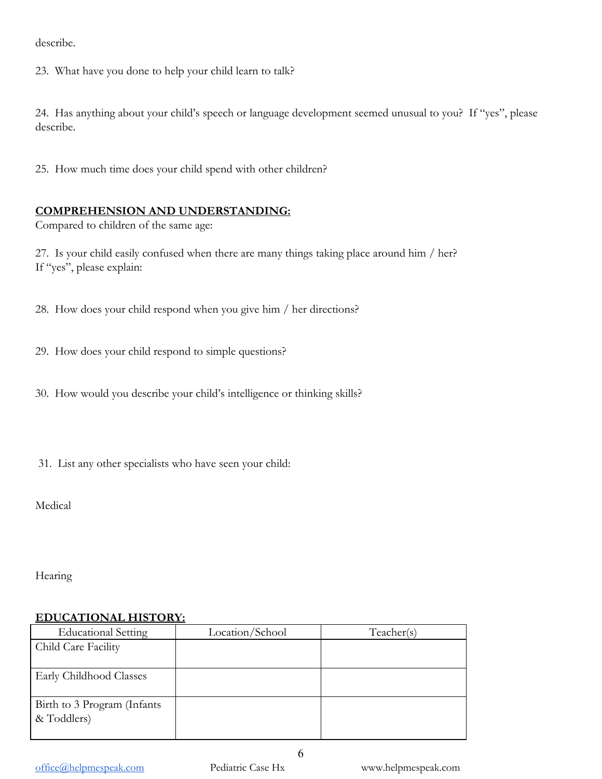describe.

23. What have you done to help your child learn to talk?

24. Has anything about your child's speech or language development seemed unusual to you? If "yes", please describe.

25. How much time does your child spend with other children?

#### **COMPREHENSION AND UNDERSTANDING:**

Compared to children of the same age:

27. Is your child easily confused when there are many things taking place around him / her? If "yes", please explain:

28. How does your child respond when you give him / her directions?

29. How does your child respond to simple questions?

30. How would you describe your child's intelligence or thinking skills?

31. List any other specialists who have seen your child:

Medical

Hearing

#### **EDUCATIONAL HISTORY:**

| <b>Educational Setting</b>                 | Location/School | Teacher(s) |
|--------------------------------------------|-----------------|------------|
| Child Care Facility                        |                 |            |
|                                            |                 |            |
| Early Childhood Classes                    |                 |            |
| Birth to 3 Program (Infants<br>& Toddlers) |                 |            |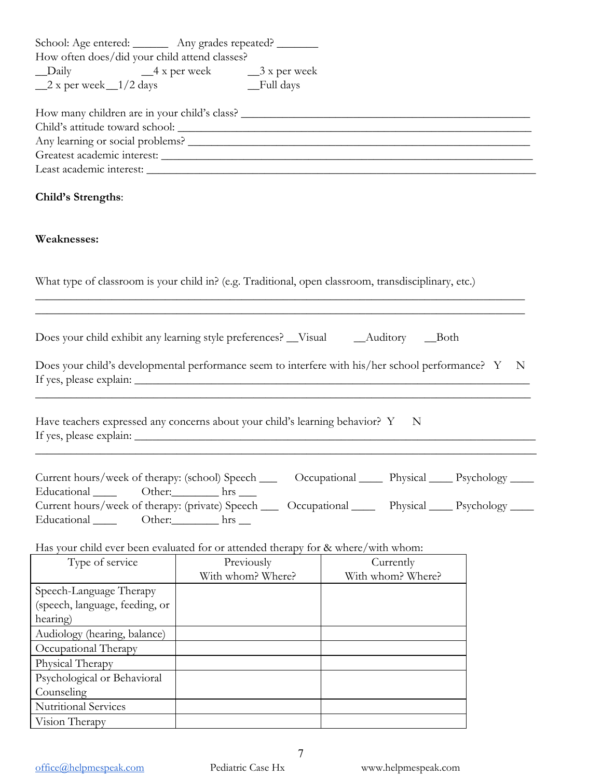| School: Age entered: _________ Any grades repeated? ________                                                                                                                                                                                                                         |                                            |                                |             |
|--------------------------------------------------------------------------------------------------------------------------------------------------------------------------------------------------------------------------------------------------------------------------------------|--------------------------------------------|--------------------------------|-------------|
| How often does/did your child attend classes?                                                                                                                                                                                                                                        |                                            |                                |             |
| $\_\$ {Daily}                                                                                                                                                                                                                                                                        | $-4x$ per week $-3x$ per week<br>Full days |                                |             |
| $2 x per week_1/2 days$                                                                                                                                                                                                                                                              |                                            |                                |             |
|                                                                                                                                                                                                                                                                                      |                                            |                                |             |
|                                                                                                                                                                                                                                                                                      |                                            |                                |             |
|                                                                                                                                                                                                                                                                                      |                                            |                                |             |
|                                                                                                                                                                                                                                                                                      |                                            |                                |             |
| Child's Strengths:                                                                                                                                                                                                                                                                   |                                            |                                |             |
| Weaknesses:                                                                                                                                                                                                                                                                          |                                            |                                |             |
| What type of classroom is your child in? (e.g. Traditional, open classroom, transdisciplinary, etc.)                                                                                                                                                                                 |                                            |                                |             |
| Does your child exhibit any learning style preferences? __Visual ___________________________________Both                                                                                                                                                                             |                                            |                                |             |
| Does your child's developmental performance seem to interfere with his/her school performance? Y                                                                                                                                                                                     |                                            |                                | $\mathbf N$ |
| Have teachers expressed any concerns about your child's learning behavior? Y N                                                                                                                                                                                                       |                                            |                                |             |
| Current hours/week of therapy: (school) Speech ______ Occupational _______ Physical ______ Psychology _____<br>Educational Other: hrs ______<br>Current hours/week of therapy: (private) Speech _____ Occupational _______ Physical _____ Psychology _____<br>Educational Other: hrs |                                            |                                |             |
|                                                                                                                                                                                                                                                                                      |                                            |                                |             |
| Has your child ever been evaluated for or attended therapy for & where/with whom:                                                                                                                                                                                                    |                                            |                                |             |
| Type of service                                                                                                                                                                                                                                                                      | Previously<br>With whom? Where?            | Currently<br>With whom? Where? |             |
| Speech-Language Therapy                                                                                                                                                                                                                                                              |                                            |                                |             |
| (speech, language, feeding, or                                                                                                                                                                                                                                                       |                                            |                                |             |
| hearing)                                                                                                                                                                                                                                                                             |                                            |                                |             |
| Audiology (hearing, balance)                                                                                                                                                                                                                                                         |                                            |                                |             |
| Occupational Therapy                                                                                                                                                                                                                                                                 |                                            |                                |             |
| Physical Therapy                                                                                                                                                                                                                                                                     |                                            |                                |             |
| Psychological or Behavioral                                                                                                                                                                                                                                                          |                                            |                                |             |
| Counseling                                                                                                                                                                                                                                                                           |                                            |                                |             |
| Nutritional Services                                                                                                                                                                                                                                                                 |                                            |                                |             |
| Vision Therapy                                                                                                                                                                                                                                                                       |                                            |                                |             |
|                                                                                                                                                                                                                                                                                      |                                            |                                |             |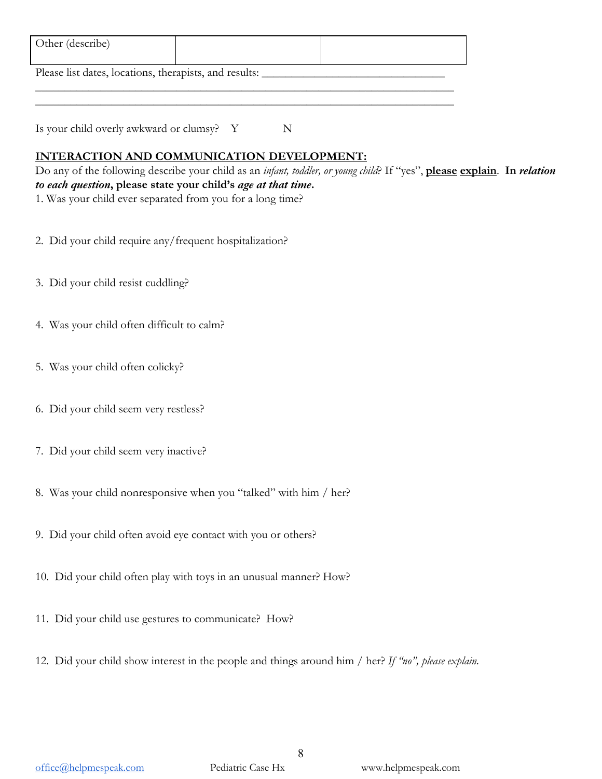| Other (describe)                                       |  |
|--------------------------------------------------------|--|
| Please list dates, locations, therapists, and results: |  |

\_\_\_\_\_\_\_\_\_\_\_\_\_\_\_\_\_\_\_\_\_\_\_\_\_\_\_\_\_\_\_\_\_\_\_\_\_\_\_\_\_\_\_\_\_\_\_\_\_\_\_\_\_\_\_\_\_\_\_\_\_\_\_\_\_\_\_\_\_\_\_

Is your child overly awkward or clumsy? Y N

# **INTERACTION AND COMMUNICATION DEVELOPMENT:**

Do any of the following describe your child as an *infant, toddler, or young child*? If "yes", **please explain**. **In** *relation to each question***, please state your child's** *age at that time***.** 1. Was your child ever separated from you for a long time?

- 
- 2. Did your child require any/frequent hospitalization?
- 3. Did your child resist cuddling?
- 4. Was your child often difficult to calm?
- 5. Was your child often colicky?
- 6. Did your child seem very restless?
- 7. Did your child seem very inactive?
- 8. Was your child nonresponsive when you "talked" with him / her?
- 9. Did your child often avoid eye contact with you or others?
- 10. Did your child often play with toys in an unusual manner? How?
- 11. Did your child use gestures to communicate? How?
- 12. Did your child show interest in the people and things around him / her? *If "no", please explain.*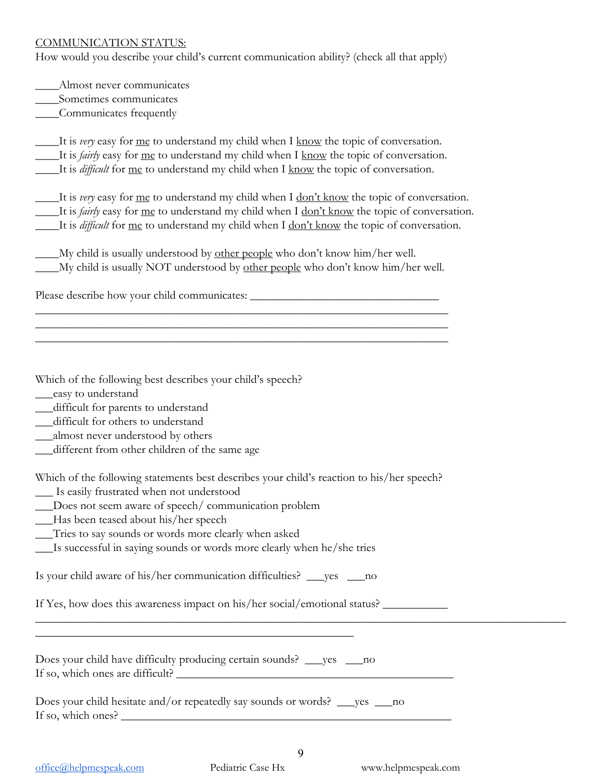#### COMMUNICATION STATUS:

How would you describe your child's current communication ability? (check all that apply)

\_\_\_\_Almost never communicates

\_\_\_\_Sometimes communicates

\_\_\_\_Communicates frequently

\_\_\_\_It is *very* easy for me to understand my child when I know the topic of conversation. \_\_\_\_It is *fairly* easy for me to understand my child when I know the topic of conversation. \_\_\_\_It is *difficult* for me to understand my child when I know the topic of conversation.

\_\_\_\_It is *very* easy for me to understand my child when I don't know the topic of conversation. \_\_\_\_It is *fairly* easy for me to understand my child when I don't know the topic of conversation. \_\_\_\_It is *difficult* for me to understand my child when I don't know the topic of conversation.

| My child is usually understood by other people who don't know him/her well.             |  |
|-----------------------------------------------------------------------------------------|--|
| _My child is usually NOT understood by <u>other people</u> who don't know him/her well. |  |

\_\_\_\_\_\_\_\_\_\_\_\_\_\_\_\_\_\_\_\_\_\_\_\_\_\_\_\_\_\_\_\_\_\_\_\_\_\_\_\_\_\_\_\_\_\_\_\_\_\_\_\_\_\_\_\_\_\_\_\_\_\_\_\_\_\_\_\_\_\_ \_\_\_\_\_\_\_\_\_\_\_\_\_\_\_\_\_\_\_\_\_\_\_\_\_\_\_\_\_\_\_\_\_\_\_\_\_\_\_\_\_\_\_\_\_\_\_\_\_\_\_\_\_\_\_\_\_\_\_\_\_\_\_\_\_\_\_\_\_\_ \_\_\_\_\_\_\_\_\_\_\_\_\_\_\_\_\_\_\_\_\_\_\_\_\_\_\_\_\_\_\_\_\_\_\_\_\_\_\_\_\_\_\_\_\_\_\_\_\_\_\_\_\_\_\_\_\_\_\_\_\_\_\_\_\_\_\_\_\_\_

Please describe how your child communicates: \_\_\_\_\_\_\_\_\_\_\_\_\_\_\_\_\_\_\_\_\_\_\_\_\_\_\_\_\_\_\_\_\_\_\_

Which of the following best describes your child's speech?

- \_\_\_easy to understand
- \_\_\_difficult for parents to understand
- \_\_\_difficult for others to understand
- \_\_\_almost never understood by others
- \_\_\_different from other children of the same age

Which of the following statements best describes your child's reaction to his/her speech?

- \_\_\_ Is easily frustrated when not understood
- \_\_\_Does not seem aware of speech/ communication problem
- \_\_\_Has been teased about his/her speech
- \_\_\_Tries to say sounds or words more clearly when asked
- \_\_\_Is successful in saying sounds or words more clearly when he/she tries

Is your child aware of his/her communication difficulties? \_\_\_yes \_\_\_no

If Yes, how does this awareness impact on his/her social/emotional status? \_\_\_\_\_\_\_\_\_\_\_\_\_\_\_\_\_\_\_\_\_\_\_\_\_\_\_\_\_\_\_\_\_\_\_

Does your child have difficulty producing certain sounds? \_\_\_yes \_\_\_\_no If so, which ones are difficult?

\_\_\_\_\_\_\_\_\_\_\_\_\_\_\_\_\_\_\_\_\_\_\_\_\_\_\_\_\_\_\_\_\_\_\_\_\_\_\_\_\_\_\_\_\_\_\_\_\_\_\_\_\_\_

Does your child hesitate and/or repeatedly say sounds or words? \_\_\_yes \_\_\_no If so, which ones?

 $\_$  , and the contribution of the contribution of  $\mathcal{L}$  , and  $\mathcal{L}$  , and  $\mathcal{L}$  , and  $\mathcal{L}$  , and  $\mathcal{L}$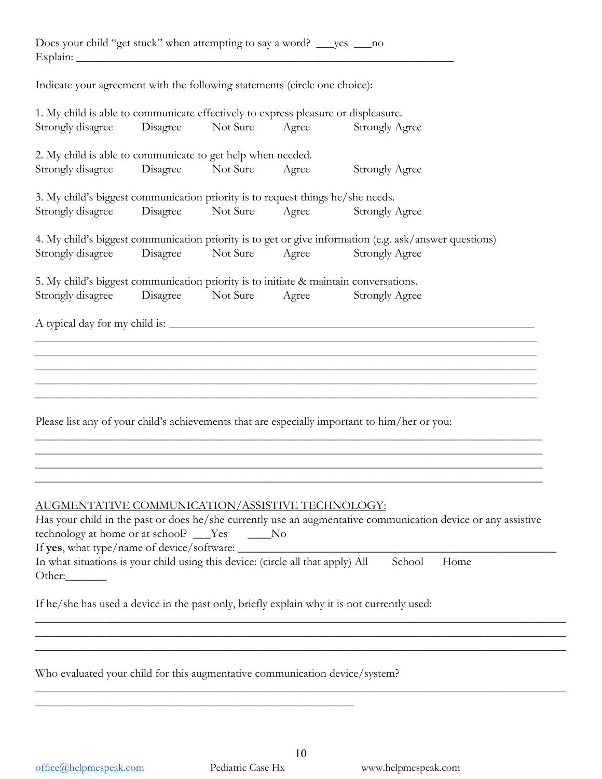|          | Does your child "get stuck" when attempting to say a word? _____ yes _____ no |  |  |
|----------|-------------------------------------------------------------------------------|--|--|
| Explain: |                                                                               |  |  |

Indicate your agreement with the following statements (circle one choice):

| 1. My child is able to communicate effectively to express pleasure or displeasure.    |          |          |       |                                                                                                               |
|---------------------------------------------------------------------------------------|----------|----------|-------|---------------------------------------------------------------------------------------------------------------|
| Strongly disagree                                                                     | Disagree | Not Sure | Agree | <b>Strongly Agree</b>                                                                                         |
| 2. My child is able to communicate to get help when needed.                           |          |          |       |                                                                                                               |
| Strongly disagree                                                                     | Disagree | Not Sure | Agree | <b>Strongly Agree</b>                                                                                         |
| 3. My child's biggest communication priority is to request things he/she needs.       |          |          |       |                                                                                                               |
| Strongly disagree                                                                     | Disagree | Not Sure | Agree | <b>Strongly Agree</b>                                                                                         |
|                                                                                       |          |          |       | 4. My child's biggest communication priority is to get or give information (e.g. ask/answer questions)        |
| Strongly disagree                                                                     | Disagree | Not Sure | Agree | <b>Strongly Agree</b>                                                                                         |
| 5. My child's biggest communication priority is to initiate & maintain conversations. |          |          |       |                                                                                                               |
| Strongly disagree                                                                     | Disagree | Not Sure | Agree | Strongly Agree                                                                                                |
|                                                                                       |          |          |       | A typical day for my child is:                                                                                |
|                                                                                       |          |          |       |                                                                                                               |
|                                                                                       |          |          |       |                                                                                                               |
|                                                                                       |          |          |       |                                                                                                               |
|                                                                                       |          |          |       |                                                                                                               |
|                                                                                       |          |          |       |                                                                                                               |
|                                                                                       |          |          |       | Please list any of your child's achievements that are especially important to him/her or you:                 |
|                                                                                       |          |          |       |                                                                                                               |
|                                                                                       |          |          |       |                                                                                                               |
|                                                                                       |          |          |       |                                                                                                               |
|                                                                                       |          |          |       |                                                                                                               |
| AUGMENTATIVE COMMUNICATION/ASSISTIVE TECHNOLOGY:                                      |          |          |       |                                                                                                               |
|                                                                                       |          |          |       | Has your child in the past or does he/she currently use an augmentative communication device or any assistive |
| technology at home or at school? ___Yes ____No                                        |          |          |       |                                                                                                               |
| If yes, what type/name of device/software:                                            |          |          |       |                                                                                                               |
| In what situations is your child using this device: (circle all that apply) All       |          |          |       | School<br>Home                                                                                                |
|                                                                                       |          |          |       |                                                                                                               |
|                                                                                       |          |          |       | If he/she has used a device in the past only, briefly explain why it is not currently used:                   |
|                                                                                       |          |          |       |                                                                                                               |
|                                                                                       |          |          |       |                                                                                                               |
|                                                                                       |          |          |       |                                                                                                               |
| Who evaluated your child for this augmentative communication device/system?           |          |          |       |                                                                                                               |
|                                                                                       |          |          |       |                                                                                                               |

\_\_\_\_\_\_\_\_\_\_\_\_\_\_\_\_\_\_\_\_\_\_\_\_\_\_\_\_\_\_\_\_\_\_\_\_\_\_\_\_\_\_\_\_\_\_\_\_\_\_\_\_\_\_

 $\_$  , and the contribution of the contribution of  $\mathcal{L}$  , and  $\mathcal{L}$  , and  $\mathcal{L}$  , and  $\mathcal{L}$  , and  $\mathcal{L}$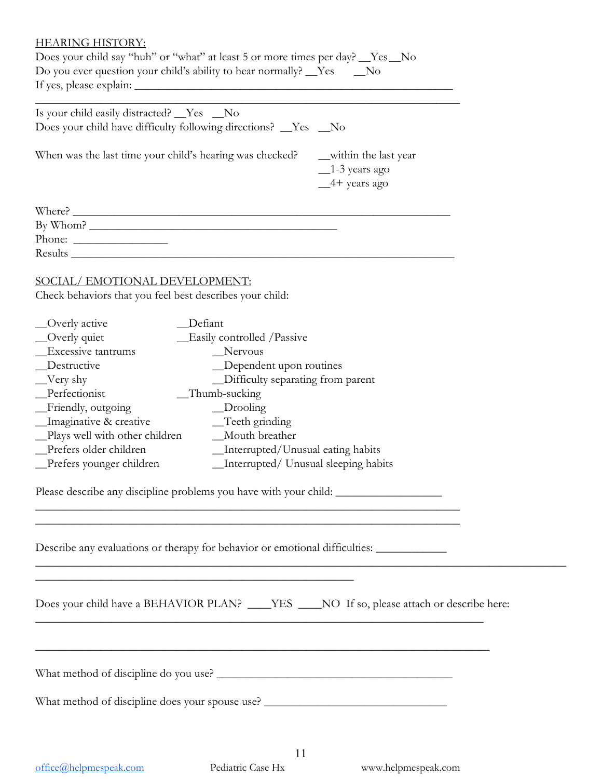#### HEARING HISTORY:

| Does your child say "huh" or "what" at least 5 or more times per day? Ves No<br>Do you ever question your child's ability to hear normally? __Yes ___No                                                                                                                                                                                                                                                                                                                                                  |                                                                 |
|----------------------------------------------------------------------------------------------------------------------------------------------------------------------------------------------------------------------------------------------------------------------------------------------------------------------------------------------------------------------------------------------------------------------------------------------------------------------------------------------------------|-----------------------------------------------------------------|
| Is your child easily distracted? __Yes __No<br>Does your child have difficulty following directions? _Yes _No                                                                                                                                                                                                                                                                                                                                                                                            |                                                                 |
| When was the last time your child's hearing was checked?                                                                                                                                                                                                                                                                                                                                                                                                                                                 | __within the last year<br>$\_1-3$ years ago<br>$-4$ + years ago |
| Where?<br>Phone: $\frac{1}{\sqrt{1-\frac{1}{2}}\sqrt{1-\frac{1}{2}}\sqrt{1-\frac{1}{2}}\sqrt{1-\frac{1}{2}}\sqrt{1-\frac{1}{2}}\sqrt{1-\frac{1}{2}}\sqrt{1-\frac{1}{2}}\sqrt{1-\frac{1}{2}}\sqrt{1-\frac{1}{2}}\sqrt{1-\frac{1}{2}}\sqrt{1-\frac{1}{2}}\sqrt{1-\frac{1}{2}}\sqrt{1-\frac{1}{2}}\sqrt{1-\frac{1}{2}}\sqrt{1-\frac{1}{2}}\sqrt{1-\frac{1}{2}}\sqrt{1-\frac{1}{2}}\sqrt{1-\frac{1}{2}}\sqrt{1-\frac{1}{2$<br>Results                                                                        |                                                                 |
| SOCIAL/EMOTIONAL DEVELOPMENT:<br>Check behaviors that you feel best describes your child:                                                                                                                                                                                                                                                                                                                                                                                                                |                                                                 |
| Defiant<br>_Overly active<br>_Overly quiet<br>Easily controlled / Passive<br><b>Excessive tantrums</b><br>Nervous<br>Destructive<br>_Dependent upon routines<br>_Difficulty separating from parent<br>$\sqrt{\frac{V_{\text{cry}}}{V_{\text{cry}}}}$<br>Perfectionist<br>_Thumb-sucking<br>$\Box$ Drooling<br>_Friendly, outgoing<br>_Imaginative & creative<br>_Teeth grinding<br>_Plays well with other children ______ Mouth breather<br>Prefers older children<br>_Interrupted/Unusual eating habits |                                                                 |
| Please describe any discipline problems you have with your child:                                                                                                                                                                                                                                                                                                                                                                                                                                        |                                                                 |
| Describe any evaluations or therapy for behavior or emotional difficulties: ___________<br><u> 1999 - Jan James James James James James James James James James James James James James James James James J</u>                                                                                                                                                                                                                                                                                          |                                                                 |
| <u> 1989 - Johann Barbara, martxa amerikan bashkar (</u><br>Does your child have a BEHAVIOR PLAN? ___YES ___NO If so, please attach or describe here:                                                                                                                                                                                                                                                                                                                                                    |                                                                 |
| ,我们也不能在这里的人,我们也不能在这里的人,我们也不能在这里的人,我们也不能在这里的人,我们也不能在这里的人,我们也不能在这里的人,我们也不能在这里的人,我们                                                                                                                                                                                                                                                                                                                                                                                                                         |                                                                 |
| What method of discipline does your spouse use? ________________________________                                                                                                                                                                                                                                                                                                                                                                                                                         |                                                                 |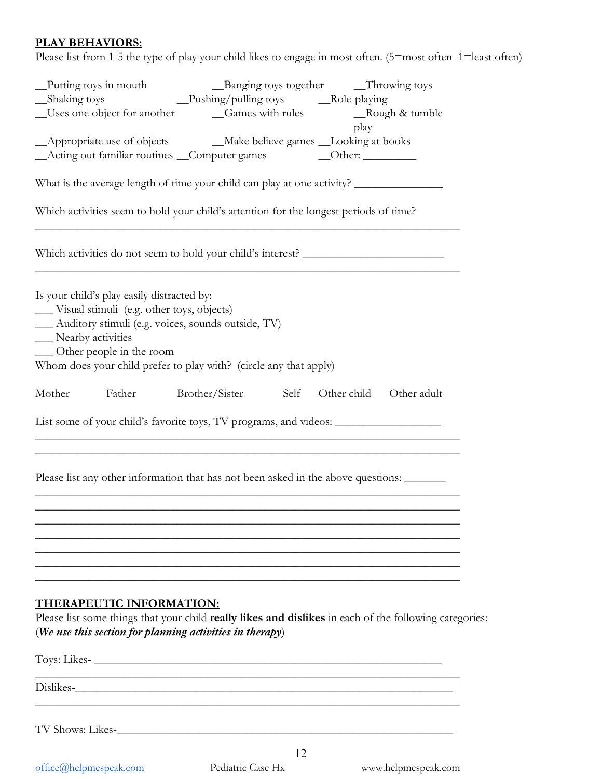# **PLAY BEHAVIORS:**

Please list from 1-5 the type of play your child likes to engage in most often. (5=most often 1=least often)

| Putting toys in mouth<br>_Shaking toys<br>_Uses one object for another ____________Games with rules _________________Rough & tumble                                                                                                                                         |                                                             | _Banging toys together __Throwing toys |                                              |             |
|-----------------------------------------------------------------------------------------------------------------------------------------------------------------------------------------------------------------------------------------------------------------------------|-------------------------------------------------------------|----------------------------------------|----------------------------------------------|-------------|
| _Acting out familiar routines _Computer games                                                                                                                                                                                                                               |                                                             |                                        | play<br>$\qquad \qquad \text{Other:} \qquad$ |             |
| What is the average length of time your child can play at one activity?                                                                                                                                                                                                     |                                                             |                                        |                                              |             |
| Which activities seem to hold your child's attention for the longest periods of time?                                                                                                                                                                                       |                                                             |                                        |                                              |             |
| Which activities do not seem to hold your child's interest? _____________________                                                                                                                                                                                           |                                                             |                                        |                                              |             |
| Is your child's play easily distracted by:<br>Visual stimuli (e.g. other toys, objects)<br>__ Auditory stimuli (e.g. voices, sounds outside, TV)<br>__ Nearby activities<br>_ Other people in the room<br>Whom does your child prefer to play with? (circle any that apply) |                                                             |                                        |                                              |             |
| Mother<br>Father                                                                                                                                                                                                                                                            | Brother/Sister                                              | Self                                   | Other child                                  | Other adult |
| List some of your child's favorite toys, TV programs, and videos: _______________                                                                                                                                                                                           |                                                             |                                        |                                              |             |
| Please list any other information that has not been asked in the above questions:                                                                                                                                                                                           |                                                             |                                        |                                              |             |
|                                                                                                                                                                                                                                                                             |                                                             |                                        |                                              |             |
| THERAPEUTIC INFORMATION:<br>Please list some things that your child really likes and dislikes in each of the following categories:<br>(We use this section for planning activities in therapy)                                                                              |                                                             |                                        |                                              |             |
| Toys: Likes-                                                                                                                                                                                                                                                                |                                                             |                                        |                                              |             |
| Dislikes-                                                                                                                                                                                                                                                                   | <u> 1989 - Johann Stoff, amerikansk politiker (d. 1989)</u> |                                        |                                              |             |
| TV Shows: Likes-                                                                                                                                                                                                                                                            |                                                             |                                        |                                              |             |
|                                                                                                                                                                                                                                                                             |                                                             | 12                                     |                                              |             |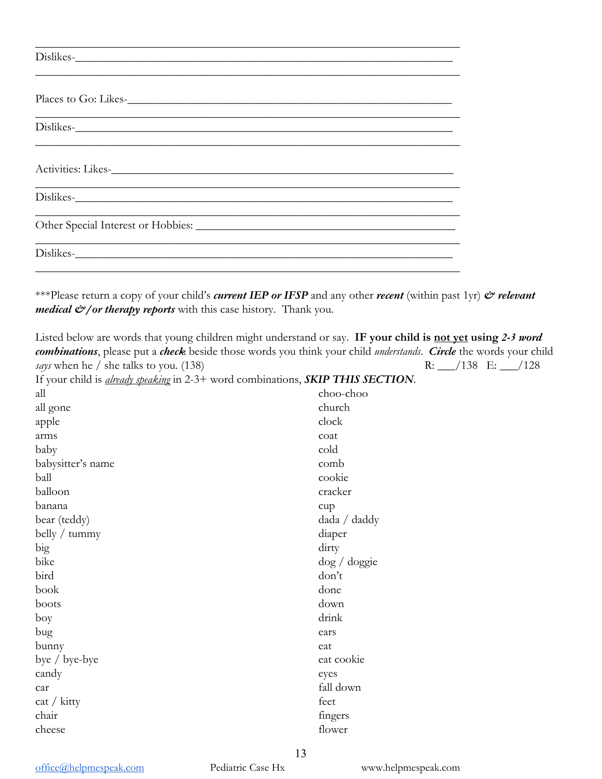| Dislikes-                                                                                      |  |
|------------------------------------------------------------------------------------------------|--|
| Places to Go: Likes-                                                                           |  |
| Dislikes-                                                                                      |  |
|                                                                                                |  |
| ,我们也不能在这里的时候,我们也不能在这里的时候,我们也不能不能不能不能不能不能不能不能不能不能不能不能不能不能不能。""我们不能不能不能不能不能不能不能不能不能<br>Dislikes- |  |
| Other Special Interest or Hobbies:                                                             |  |
| Dislikes-                                                                                      |  |

\*\*\*Please return a copy of your child's *current IEP or IFSP* and any other *recent* (within past 1yr) *& relevant medical*  $\mathcal{O}/$  *or therapy reports* with this case history. Thank you.

Listed below are words that young children might understand or say. **IF your child is not yet using** *2-3 word combinations*, please put a *check* beside those words you think your child *understands*. *Circle* the words your child *says* when he / she talks to you. (138) R: \_\_\_/138 E: \_\_\_/128 If your child is *already speaking* in 2-3+ word combinations, *SKIP THIS SECTION*. all all gone apple arms baby babysitter's name ball balloon banana bear (teddy) belly / tummy big bike bird book boots boy bug bunny bye / bye-bye candy car cat / kitty chair cheese choo-choo church clock coat cold comb cookie cracker cup dada / daddy diaper dirty dog / doggie don't done down drink ears eat eat cookie eyes fall down feet fingers flower

office@helpmespeak.com Pediatric Case Hx www.helpmespeak.com